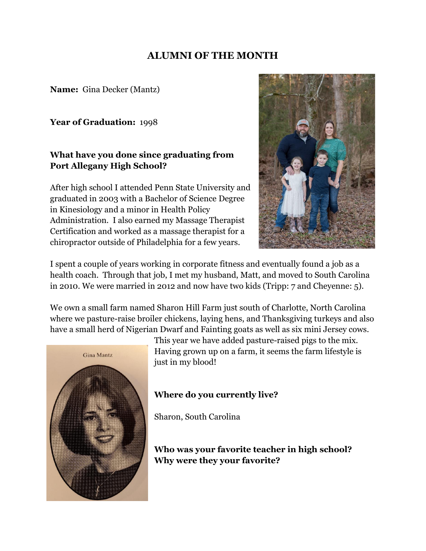## **ALUMNI OF THE MONTH**

**Name:** Gina Decker (Mantz)

**Year of Graduation:** 1998

## **What have you done since graduating from Port Allegany High School?**

After high school I attended Penn State University and graduated in 2003 with a Bachelor of Science Degree in Kinesiology and a minor in Health Policy Administration. I also earned my Massage Therapist Certification and worked as a massage therapist for a chiropractor outside of Philadelphia for a few years.



 I spent a couple of years working in corporate fitness and eventually found a job as a health coach. Through that job, I met my husband, Matt, and moved to South Carolina in 2010. We were married in 2012 and now have two kids (Tripp:  $7$  and Cheyenne:  $5$ ).

We own a small farm named Sharon Hill Farm just south of Charlotte, North Carolina where we pasture-raise broiler chickens, laying hens, and Thanksgiving turkeys and also have a small herd of Nigerian Dwarf and Fainting goats as well as six mini Jersey cows.



This year we have added pasture-raised pigs to the mix. Having grown up on a farm, it seems the farm lifestyle is just in my blood!

## **Where do you currently live?**

Sharon, South Carolina

 **Who was your favorite teacher in high school? Why were they your favorite?**